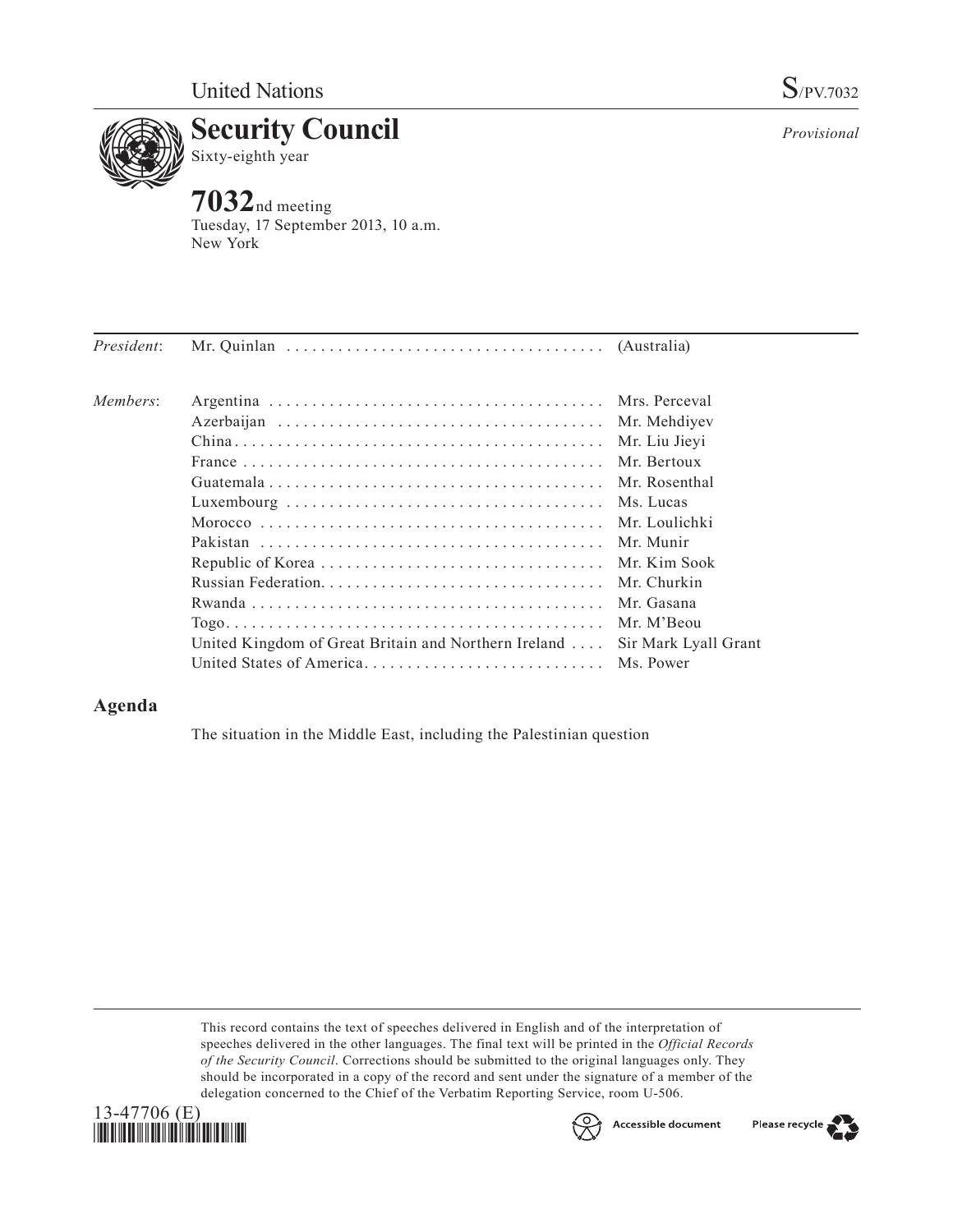

*Provisional*



**7032**nd meeting Tuesday, 17 September 2013, 10 a.m. New York

| President: |                                                      |                      |
|------------|------------------------------------------------------|----------------------|
| Members:   |                                                      |                      |
|            |                                                      | Mr. Mehdiyev         |
|            |                                                      | Mr. Liu Jieyi        |
|            |                                                      | Mr. Bertoux          |
|            |                                                      | Mr. Rosenthal        |
|            |                                                      | Ms. Lucas            |
|            |                                                      | Mr. Loulichki        |
|            |                                                      | Mr Munir             |
|            |                                                      |                      |
|            |                                                      | Mr. Churkin          |
|            |                                                      | Mr. Gasana           |
|            |                                                      | Mr. M'Beou           |
|            | United Kingdom of Great Britain and Northern Ireland | Sir Mark Lyall Grant |
|            |                                                      |                      |

## **Agenda**

The situation in the Middle East, including the Palestinian question

This record contains the text of speeches delivered in English and of the interpretation of speeches delivered in the other languages. The final text will be printed in the *Official Records of the Security Council*. Corrections should be submitted to the original languages only. They should be incorporated in a copy of the record and sent under the signature of a member of the delegation concerned to the Chief of the Verbatim Reporting Service, room U-506.





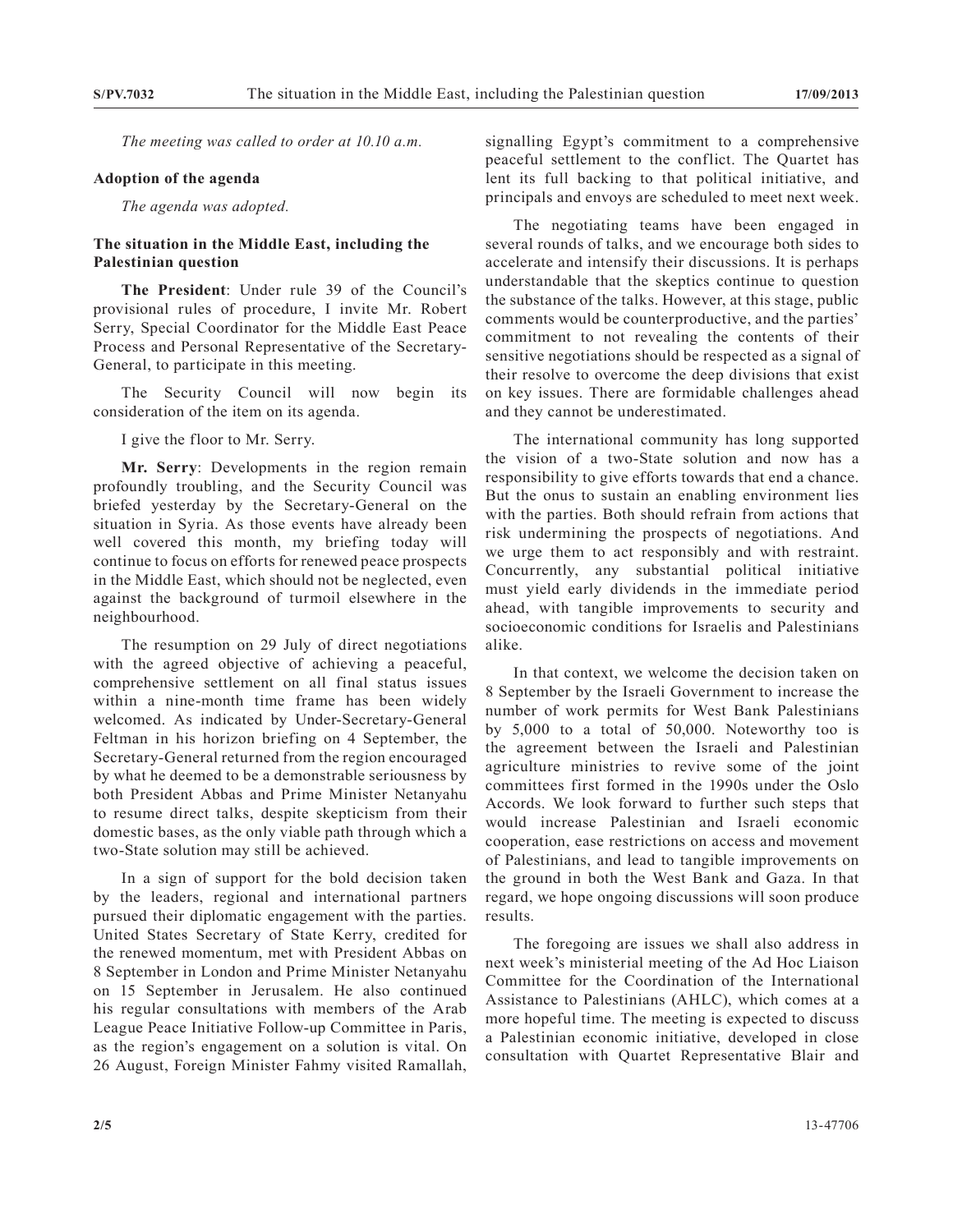*The meeting was called to order at 10.10 a.m.*

## **Adoption of the agenda**

*The agenda was adopted.*

## **The situation in the Middle East, including the Palestinian question**

**The President**: Under rule 39 of the Council's provisional rules of procedure, I invite Mr. Robert Serry, Special Coordinator for the Middle East Peace Process and Personal Representative of the Secretary-General, to participate in this meeting.

The Security Council will now begin its consideration of the item on its agenda.

I give the floor to Mr. Serry.

**Mr. Serry**: Developments in the region remain profoundly troubling, and the Security Council was briefed yesterday by the Secretary-General on the situation in Syria. As those events have already been well covered this month, my briefing today will continue to focus on efforts for renewed peace prospects in the Middle East, which should not be neglected, even against the background of turmoil elsewhere in the neighbourhood.

The resumption on 29 July of direct negotiations with the agreed objective of achieving a peaceful, comprehensive settlement on all final status issues within a nine-month time frame has been widely welcomed. As indicated by Under-Secretary-General Feltman in his horizon briefing on 4 September, the Secretary-General returned from the region encouraged by what he deemed to be a demonstrable seriousness by both President Abbas and Prime Minister Netanyahu to resume direct talks, despite skepticism from their domestic bases, as the only viable path through which a two-State solution may still be achieved.

In a sign of support for the bold decision taken by the leaders, regional and international partners pursued their diplomatic engagement with the parties. United States Secretary of State Kerry, credited for the renewed momentum, met with President Abbas on 8 September in London and Prime Minister Netanyahu on 15 September in Jerusalem. He also continued his regular consultations with members of the Arab League Peace Initiative Follow-up Committee in Paris, as the region's engagement on a solution is vital. On 26 August, Foreign Minister Fahmy visited Ramallah, signalling Egypt's commitment to a comprehensive peaceful settlement to the conflict. The Quartet has lent its full backing to that political initiative, and principals and envoys are scheduled to meet next week.

The negotiating teams have been engaged in several rounds of talks, and we encourage both sides to accelerate and intensify their discussions. It is perhaps understandable that the skeptics continue to question the substance of the talks. However, at this stage, public comments would be counterproductive, and the parties' commitment to not revealing the contents of their sensitive negotiations should be respected as a signal of their resolve to overcome the deep divisions that exist on key issues. There are formidable challenges ahead and they cannot be underestimated.

The international community has long supported the vision of a two-State solution and now has a responsibility to give efforts towards that end a chance. But the onus to sustain an enabling environment lies with the parties. Both should refrain from actions that risk undermining the prospects of negotiations. And we urge them to act responsibly and with restraint. Concurrently, any substantial political initiative must yield early dividends in the immediate period ahead, with tangible improvements to security and socioeconomic conditions for Israelis and Palestinians alike.

In that context, we welcome the decision taken on 8 September by the Israeli Government to increase the number of work permits for West Bank Palestinians by 5,000 to a total of 50,000. Noteworthy too is the agreement between the Israeli and Palestinian agriculture ministries to revive some of the joint committees first formed in the 1990s under the Oslo Accords. We look forward to further such steps that would increase Palestinian and Israeli economic cooperation, ease restrictions on access and movement of Palestinians, and lead to tangible improvements on the ground in both the West Bank and Gaza. In that regard, we hope ongoing discussions will soon produce results.

The foregoing are issues we shall also address in next week's ministerial meeting of the Ad Hoc Liaison Committee for the Coordination of the International Assistance to Palestinians (AHLC), which comes at a more hopeful time. The meeting is expected to discuss a Palestinian economic initiative, developed in close consultation with Quartet Representative Blair and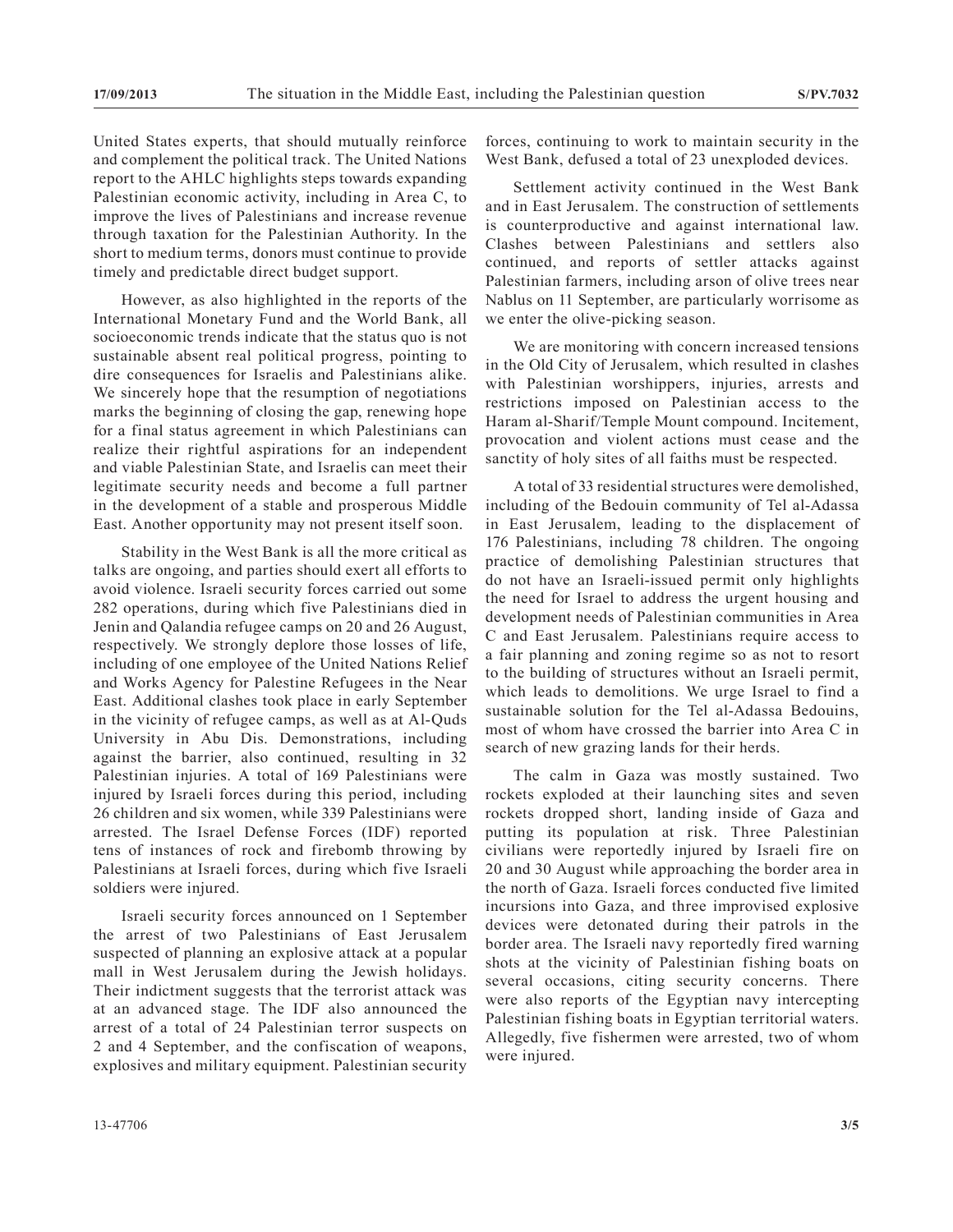United States experts, that should mutually reinforce and complement the political track. The United Nations report to the AHLC highlights steps towards expanding Palestinian economic activity, including in Area C, to improve the lives of Palestinians and increase revenue through taxation for the Palestinian Authority. In the short to medium terms, donors must continue to provide timely and predictable direct budget support.

However, as also highlighted in the reports of the International Monetary Fund and the World Bank, all socioeconomic trends indicate that the status quo is not sustainable absent real political progress, pointing to dire consequences for Israelis and Palestinians alike. We sincerely hope that the resumption of negotiations marks the beginning of closing the gap, renewing hope for a final status agreement in which Palestinians can realize their rightful aspirations for an independent and viable Palestinian State, and Israelis can meet their legitimate security needs and become a full partner in the development of a stable and prosperous Middle East. Another opportunity may not present itself soon.

Stability in the West Bank is all the more critical as talks are ongoing, and parties should exert all efforts to avoid violence. Israeli security forces carried out some 282 operations, during which five Palestinians died in Jenin and Qalandia refugee camps on 20 and 26 August, respectively. We strongly deplore those losses of life, including of one employee of the United Nations Relief and Works Agency for Palestine Refugees in the Near East. Additional clashes took place in early September in the vicinity of refugee camps, as well as at Al-Quds University in Abu Dis. Demonstrations, including against the barrier, also continued, resulting in 32 Palestinian injuries. A total of 169 Palestinians were injured by Israeli forces during this period, including 26 children and six women, while 339 Palestinians were arrested. The Israel Defense Forces (IDF) reported tens of instances of rock and firebomb throwing by Palestinians at Israeli forces, during which five Israeli soldiers were injured.

Israeli security forces announced on 1 September the arrest of two Palestinians of East Jerusalem suspected of planning an explosive attack at a popular mall in West Jerusalem during the Jewish holidays. Their indictment suggests that the terrorist attack was at an advanced stage. The IDF also announced the arrest of a total of 24 Palestinian terror suspects on 2 and 4 September, and the confiscation of weapons, explosives and military equipment. Palestinian security

forces, continuing to work to maintain security in the West Bank, defused a total of 23 unexploded devices.

Settlement activity continued in the West Bank and in East Jerusalem. The construction of settlements is counterproductive and against international law. Clashes between Palestinians and settlers also continued, and reports of settler attacks against Palestinian farmers, including arson of olive trees near Nablus on 11 September, are particularly worrisome as we enter the olive-picking season.

We are monitoring with concern increased tensions in the Old City of Jerusalem, which resulted in clashes with Palestinian worshippers, injuries, arrests and restrictions imposed on Palestinian access to the Haram al-Sharif/Temple Mount compound. Incitement, provocation and violent actions must cease and the sanctity of holy sites of all faiths must be respected.

A total of 33 residential structures were demolished, including of the Bedouin community of Tel al-Adassa in East Jerusalem, leading to the displacement of 176 Palestinians, including 78 children. The ongoing practice of demolishing Palestinian structures that do not have an Israeli-issued permit only highlights the need for Israel to address the urgent housing and development needs of Palestinian communities in Area C and East Jerusalem. Palestinians require access to a fair planning and zoning regime so as not to resort to the building of structures without an Israeli permit, which leads to demolitions. We urge Israel to find a sustainable solution for the Tel al-Adassa Bedouins, most of whom have crossed the barrier into Area C in search of new grazing lands for their herds.

The calm in Gaza was mostly sustained. Two rockets exploded at their launching sites and seven rockets dropped short, landing inside of Gaza and putting its population at risk. Three Palestinian civilians were reportedly injured by Israeli fire on 20 and 30 August while approaching the border area in the north of Gaza. Israeli forces conducted five limited incursions into Gaza, and three improvised explosive devices were detonated during their patrols in the border area. The Israeli navy reportedly fired warning shots at the vicinity of Palestinian fishing boats on several occasions, citing security concerns. There were also reports of the Egyptian navy intercepting Palestinian fishing boats in Egyptian territorial waters. Allegedly, five fishermen were arrested, two of whom were injured.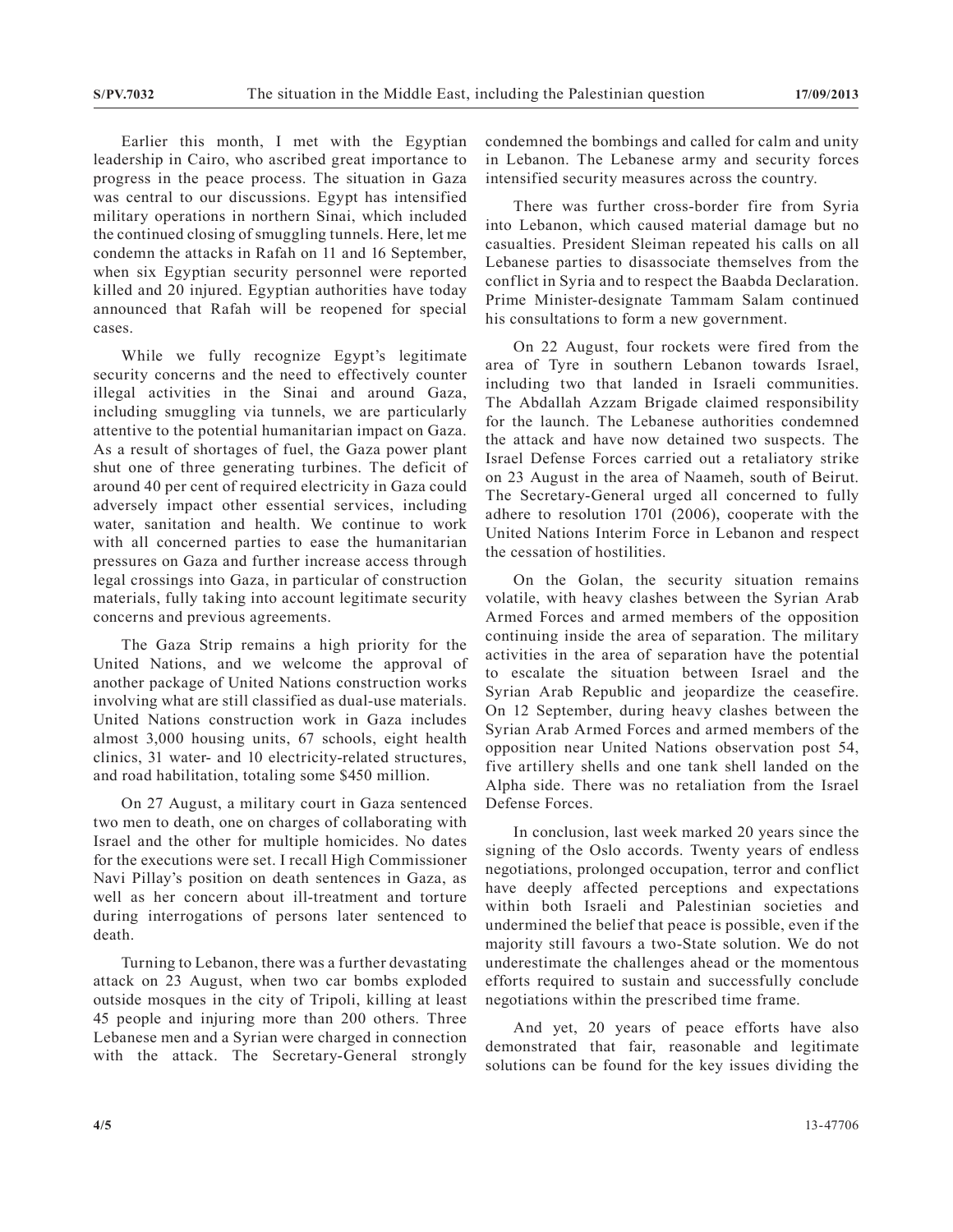Earlier this month, I met with the Egyptian leadership in Cairo, who ascribed great importance to progress in the peace process. The situation in Gaza was central to our discussions. Egypt has intensified military operations in northern Sinai, which included the continued closing of smuggling tunnels. Here, let me condemn the attacks in Rafah on 11 and 16 September, when six Egyptian security personnel were reported killed and 20 injured. Egyptian authorities have today announced that Rafah will be reopened for special cases.

While we fully recognize Egypt's legitimate security concerns and the need to effectively counter illegal activities in the Sinai and around Gaza, including smuggling via tunnels, we are particularly attentive to the potential humanitarian impact on Gaza. As a result of shortages of fuel, the Gaza power plant shut one of three generating turbines. The deficit of around 40 per cent of required electricity in Gaza could adversely impact other essential services, including water, sanitation and health. We continue to work with all concerned parties to ease the humanitarian pressures on Gaza and further increase access through legal crossings into Gaza, in particular of construction materials, fully taking into account legitimate security concerns and previous agreements.

The Gaza Strip remains a high priority for the United Nations, and we welcome the approval of another package of United Nations construction works involving what are still classified as dual-use materials. United Nations construction work in Gaza includes almost 3,000 housing units, 67 schools, eight health clinics, 31 water- and 10 electricity-related structures, and road habilitation, totaling some \$450 million.

On 27 August, a military court in Gaza sentenced two men to death, one on charges of collaborating with Israel and the other for multiple homicides. No dates for the executions were set. I recall High Commissioner Navi Pillay's position on death sentences in Gaza, as well as her concern about ill-treatment and torture during interrogations of persons later sentenced to death.

Turning to Lebanon, there was a further devastating attack on 23 August, when two car bombs exploded outside mosques in the city of Tripoli, killing at least 45 people and injuring more than 200 others. Three Lebanese men and a Syrian were charged in connection with the attack. The Secretary-General strongly

condemned the bombings and called for calm and unity in Lebanon. The Lebanese army and security forces intensified security measures across the country.

There was further cross-border fire from Syria into Lebanon, which caused material damage but no casualties. President Sleiman repeated his calls on all Lebanese parties to disassociate themselves from the conflict in Syria and to respect the Baabda Declaration. Prime Minister-designate Tammam Salam continued his consultations to form a new government.

On 22 August, four rockets were fired from the area of Tyre in southern Lebanon towards Israel, including two that landed in Israeli communities. The Abdallah Azzam Brigade claimed responsibility for the launch. The Lebanese authorities condemned the attack and have now detained two suspects. The Israel Defense Forces carried out a retaliatory strike on 23 August in the area of Naameh, south of Beirut. The Secretary-General urged all concerned to fully adhere to resolution 1701 (2006), cooperate with the United Nations Interim Force in Lebanon and respect the cessation of hostilities.

On the Golan, the security situation remains volatile, with heavy clashes between the Syrian Arab Armed Forces and armed members of the opposition continuing inside the area of separation. The military activities in the area of separation have the potential to escalate the situation between Israel and the Syrian Arab Republic and jeopardize the ceasefire. On 12 September, during heavy clashes between the Syrian Arab Armed Forces and armed members of the opposition near United Nations observation post 54, five artillery shells and one tank shell landed on the Alpha side. There was no retaliation from the Israel Defense Forces.

In conclusion, last week marked 20 years since the signing of the Oslo accords. Twenty years of endless negotiations, prolonged occupation, terror and conflict have deeply affected perceptions and expectations within both Israeli and Palestinian societies and undermined the belief that peace is possible, even if the majority still favours a two-State solution. We do not underestimate the challenges ahead or the momentous efforts required to sustain and successfully conclude negotiations within the prescribed time frame.

And yet, 20 years of peace efforts have also demonstrated that fair, reasonable and legitimate solutions can be found for the key issues dividing the